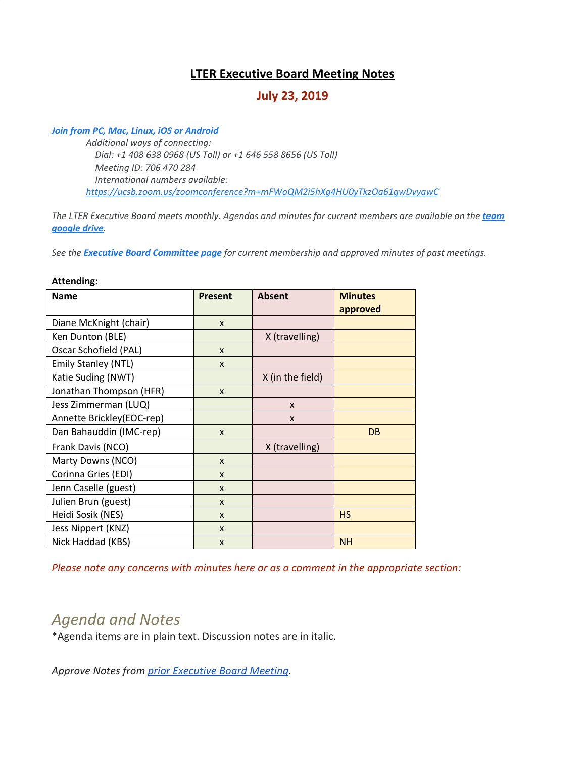# **LTER Executive Board Meeting Notes**

# **July 23, 2019**

#### *[Join from PC, Mac, Linux, iOS or Android](https://ucsb.zoom.us/j/706470284)*

*Additional ways of connecting: Dial: +1 408 638 0968 (US Toll) or +1 646 558 8656 (US Toll) Meeting ID: 706 470 284 International numbers available: <https://ucsb.zoom.us/zoomconference?m=mFWoQM2i5hXg4HU0yTkzOa61gwDvyawC>*

*The LTER Executive Board meets monthly. Agendas and minutes for current members are available on the [team](https://drive.google.com/drive/folders/0AKaWwJjxt2VMUk9PVA) [google drive](https://drive.google.com/drive/folders/0AKaWwJjxt2VMUk9PVA).*

*See the [Executive Board Committee page](https://lternet.edu/committees/executive-board/) for current membership and approved minutes of past meetings.*

#### **Attending:**

| <b>Name</b>                | <b>Present</b> | <b>Absent</b>    | <b>Minutes</b><br>approved |
|----------------------------|----------------|------------------|----------------------------|
| Diane McKnight (chair)     | $\mathsf{x}$   |                  |                            |
| Ken Dunton (BLE)           |                | X (travelling)   |                            |
| Oscar Schofield (PAL)      | $\mathsf{x}$   |                  |                            |
| <b>Emily Stanley (NTL)</b> | X              |                  |                            |
| Katie Suding (NWT)         |                | X (in the field) |                            |
| Jonathan Thompson (HFR)    | X              |                  |                            |
| Jess Zimmerman (LUQ)       |                | X                |                            |
| Annette Brickley(EOC-rep)  |                | X                |                            |
| Dan Bahauddin (IMC-rep)    | $\mathsf{x}$   |                  | <b>DB</b>                  |
| Frank Davis (NCO)          |                | X (travelling)   |                            |
| Marty Downs (NCO)          | $\mathsf{x}$   |                  |                            |
| Corinna Gries (EDI)        | $\mathsf{x}$   |                  |                            |
| Jenn Caselle (guest)       | $\mathsf{x}$   |                  |                            |
| Julien Brun (guest)        | $\mathsf{x}$   |                  |                            |
| Heidi Sosik (NES)          | $\mathsf{x}$   |                  | <b>HS</b>                  |
| Jess Nippert (KNZ)         | $\mathsf{x}$   |                  |                            |
| Nick Haddad (KBS)          | X              |                  | <b>NH</b>                  |

*Please note any concerns with minutes here or as a comment in the appropriate section:*

# *Agenda and Notes*

\*Agenda items are in plain text. Discussion notes are in italic.

*Approve Notes from [prior Executive Board Meeting.](https://docs.google.com/document/d/1wQ_MGToYyKY9EB-bExFat67cQE3gM0sK28ncdRZjhIo)*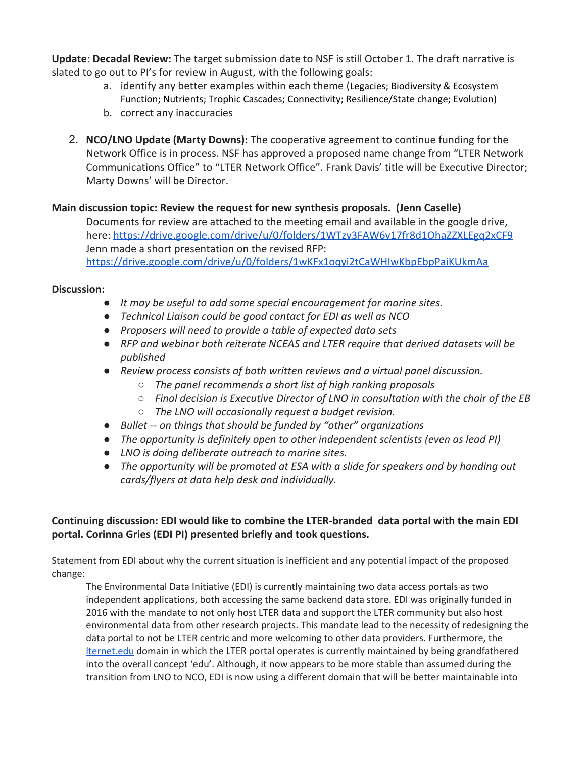**Update**: **Decadal Review:** The target submission date to NSF is still October 1. The draft narrative is slated to go out to PI's for review in August, with the following goals:

- a. identify any better examples within each theme (Legacies; Biodiversity & Ecosystem Function; Nutrients; Trophic Cascades; Connectivity; Resilience/State change; Evolution)
- b. correct any inaccuracies
- 2. **NCO/LNO Update (Marty Downs):** The cooperative agreement to continue funding for the Network Office is in process. NSF has approved a proposed name change from "LTER Network Communications Office" to "LTER Network Office". Frank Davis' title will be Executive Director; Marty Downs' will be Director.

### **Main discussion topic: Review the request for new synthesis proposals. (Jenn Caselle)**

Documents for review are attached to the meeting email and available in the google drive, here:<https://drive.google.com/drive/u/0/folders/1WTzv3FAW6v17fr8d1OhaZZXLEgq2xCF9> Jenn made a short presentation on the revised RFP: <https://drive.google.com/drive/u/0/folders/1wKFx1oqyi2tCaWHIwKbpEbpPaiKUkmAa>

### **Discussion:**

- *● It may be useful to add some special encouragement for marine sites.*
- *● Technical Liaison could be good contact for EDI as well as NCO*
- *● Proposers will need to provide a table of expected data sets*
- *● RFP and webinar both reiterate NCEAS and LTER require that derived datasets will be published*
- *● Review process consists of both written reviews and a virtual panel discussion.*
	- *○ The panel recommends a short list of high ranking proposals*
	- *○ Final decision is Executive Director of LNO in consultation with the chair of the EB*
	- *○ The LNO will occasionally request a budget revision.*
- *● Bullet -- on things that should be funded by "other" organizations*
- *● The opportunity is definitely open to other independent scientists (even as lead PI)*
- *● LNO is doing deliberate outreach to marine sites.*
- *● The opportunity will be promoted at ESA with a slide for speakers and by handing out cards/flyers at data help desk and individually.*

### **Continuing discussion: EDI would like to combine the LTER-branded data portal with the main EDI portal. Corinna Gries (EDI PI) presented briefly and took questions.**

Statement from EDI about why the current situation is inefficient and any potential impact of the proposed change:

The Environmental Data Initiative (EDI) is currently maintaining two data access portals as two independent applications, both accessing the same backend data store. EDI was originally funded in 2016 with the mandate to not only host LTER data and support the LTER community but also host environmental data from other research projects. This mandate lead to the necessity of redesigning the data portal to not be LTER centric and more welcoming to other data providers. Furthermore, the [lternet.edu](http://lternet.edu/) domain in which the LTER portal operates is currently maintained by being grandfathered into the overall concept 'edu'. Although, it now appears to be more stable than assumed during the transition from LNO to NCO, EDI is now using a different domain that will be better maintainable into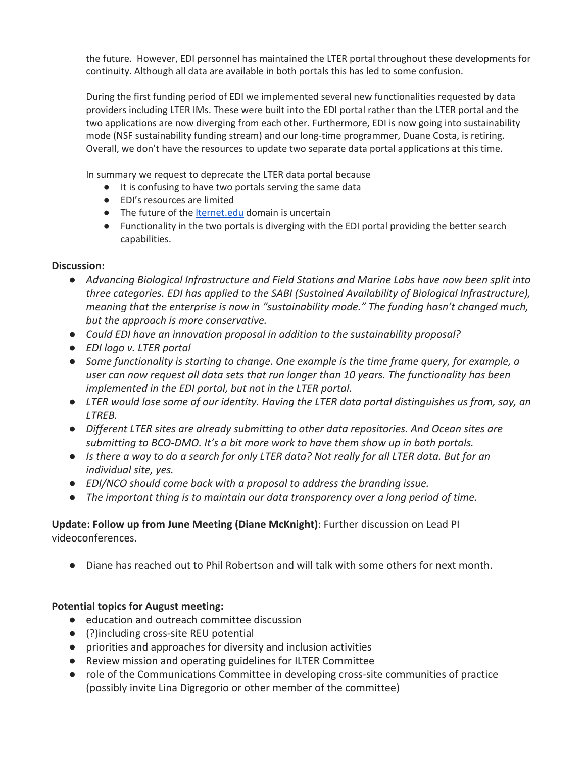the future. However, EDI personnel has maintained the LTER portal throughout these developments for continuity. Although all data are available in both portals this has led to some confusion.

During the first funding period of EDI we implemented several new functionalities requested by data providers including LTER IMs. These were built into the EDI portal rather than the LTER portal and the two applications are now diverging from each other. Furthermore, EDI is now going into sustainability mode (NSF sustainability funding stream) and our long-time programmer, Duane Costa, is retiring. Overall, we don't have the resources to update two separate data portal applications at this time.

In summary we request to deprecate the LTER data portal because

- It is confusing to have two portals serving the same data
- EDI's resources are limited
- The future of the [lternet.edu](http://lternet.edu/) domain is uncertain
- Functionality in the two portals is diverging with the EDI portal providing the better search capabilities.

### **Discussion:**

- *● Advancing Biological Infrastructure and Field Stations and Marine Labs have now been split into three categories. EDI has applied to the SABI (Sustained Availability of Biological Infrastructure), meaning that the enterprise is now in "sustainability mode." The funding hasn't changed much, but the approach is more conservative.*
- *● Could EDI have an innovation proposal in addition to the sustainability proposal?*
- *● EDI logo v. LTER portal*
- *● Some functionality is starting to change. One example is the time frame query, for example, a user can now request all data sets that run longer than 10 years. The functionality has been implemented in the EDI portal, but not in the LTER portal.*
- *● LTER would lose some of our identity. Having the LTER data portal distinguishes us from, say, an LTREB.*
- *● Different LTER sites are already submitting to other data repositories. And Ocean sites are submitting to BCO-DMO. It's a bit more work to have them show up in both portals.*
- *● Is there a way to do a search for only LTER data? Not really for all LTER data. But for an individual site, yes.*
- *● EDI/NCO should come back with a proposal to address the branding issue.*
- *● The important thing is to maintain our data transparency over a long period of time.*

## **Update: Follow up from June Meeting (Diane McKnight)**: Further discussion on Lead PI videoconferences.

● Diane has reached out to Phil Robertson and will talk with some others for next month.

#### **Potential topics for August meeting:**

- education and outreach committee discussion
- (?)including cross-site REU potential
- priorities and approaches for diversity and inclusion activities
- Review mission and operating guidelines for ILTER Committee
- role of the Communications Committee in developing cross-site communities of practice (possibly invite Lina Digregorio or other member of the committee)